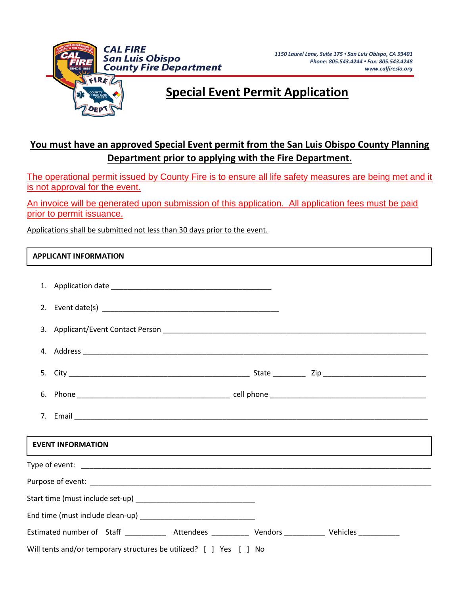

## **Special Event Permit Application**

## **You must have an approved Special Event permit from the San Luis Obispo County Planning Department prior to applying with the Fire Department.**

The operational permit issued by County Fire is to ensure all life safety measures are being met and it is not approval for the event.

An invoice will be generated upon submission of this application. All application fees must be paid prior to permit issuance.

Applications shall be submitted not less than 30 days prior to the event.

## **APPLICANT INFORMATION**

| <b>EVENT INFORMATION</b>                                                                                              |  |  |  |  |  |  |
|-----------------------------------------------------------------------------------------------------------------------|--|--|--|--|--|--|
| <u> 1989 - Jan Samuel Barbara, margaret amerikan basar dan berasal dalam berasal dalam berasal dalam berasal dala</u> |  |  |  |  |  |  |
|                                                                                                                       |  |  |  |  |  |  |
|                                                                                                                       |  |  |  |  |  |  |
|                                                                                                                       |  |  |  |  |  |  |
| Estimated number of Staff _____________ Attendees ____________ Vendors ___________ Vehicles ____________              |  |  |  |  |  |  |
| Will tents and/or temporary structures be utilized? [ ] Yes [ ] No                                                    |  |  |  |  |  |  |